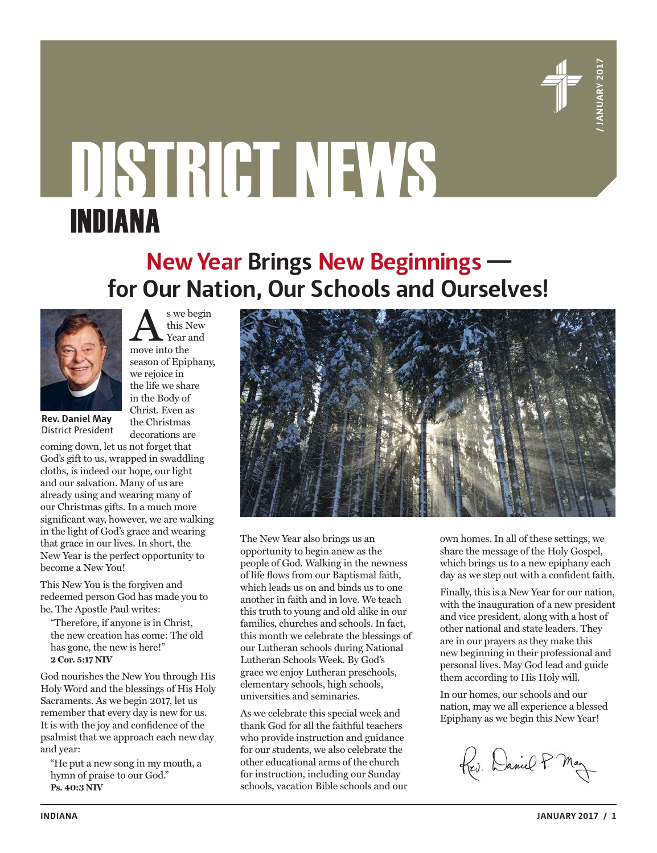

# DISTRICT NEWS INDIANA

### **New Year Brings New Beginnings for Our Nation, Our Schools and Ourselves!**



 $\sum_{\substack{\text{the begin} \text{New} \\ \text{near and}}}$ this New Year and season of Epiphany, we rejoice in the life we share in the Body of Christ. Even as the Christmas decorations are

**Rev. Daniel May** District President

coming down, let us not forget that God's gift to us, wrapped in swaddling cloths, is indeed our hope, our light and our salvation. Many of us are already using and wearing many of our Christmas gifts. In a much more significant way, however, we are walking in the light of God's grace and wearing that grace in our lives. In short, the New Year is the perfect opportunity to become a New You!

This New You is the forgiven and redeemed person God has made you to be. The Apostle Paul writes:

"Therefore, if anyone is in Christ, the new creation has come: The old has gone, the new is here!" **2 Cor. 5:17 NIV**

God nourishes the New You through His Holy Word and the blessings of His Holy Sacraments. As we begin 2017, let us remember that every day is new for us. It is with the joy and confidence of the psalmist that we approach each new day and year:

"He put a new song in my mouth, a hymn of praise to our God." **Ps. 40:3 NIV**



The New Year also brings us an opportunity to begin anew as the people of God. Walking in the newness of life flows from our Baptismal faith, which leads us on and binds us to one another in faith and in love. We teach this truth to young and old alike in our families, churches and schools. In fact, this month we celebrate the blessings of our Lutheran schools during National Lutheran Schools Week. By God's grace we enjoy Lutheran preschools, elementary schools, high schools, universities and seminaries.

As we celebrate this special week and thank God for all the faithful teachers who provide instruction and guidance for our students, we also celebrate the other educational arms of the church for instruction, including our Sunday schools, vacation Bible schools and our own homes. In all of these settings, we share the message of the Holy Gospel, which brings us to a new epiphany each day as we step out with a confident faith.

Finally, this is a New Year for our nation, with the inauguration of a new president and vice president, along with a host of other national and state leaders. They are in our prayers as they make this new beginning in their professional and personal lives. May God lead and guide them according to His Holy will.

In our homes, our schools and our nation, may we all experience a blessed Epiphany as we begin this New Year!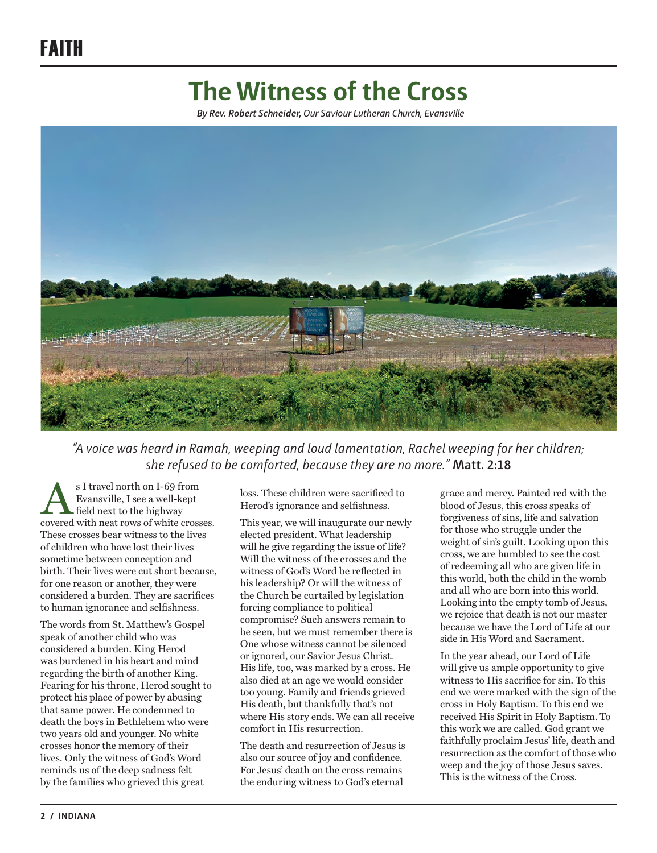## **The Witness of the Cross**

*By Rev. Robert Schneider, Our Saviour Lutheran Church, Evansville*



*"A voice was heard in Ramah, weeping and loud lamentation, Rachel weeping for her children; she refused to be comforted, because they are no more."* **Matt. 2:18**

S I travel north on I-69 from<br>Evansville, I see a well-kept<br>field next to the highway<br>covered with neat rows of white crosses. Evansville, I see a well-kept field next to the highway These crosses bear witness to the lives of children who have lost their lives sometime between conception and birth. Their lives were cut short because, for one reason or another, they were considered a burden. They are sacrifices to human ignorance and selfishness.

The words from St. Matthew's Gospel speak of another child who was considered a burden. King Herod was burdened in his heart and mind regarding the birth of another King. Fearing for his throne, Herod sought to protect his place of power by abusing that same power. He condemned to death the boys in Bethlehem who were two years old and younger. No white crosses honor the memory of their lives. Only the witness of God's Word reminds us of the deep sadness felt by the families who grieved this great

loss. These children were sacrificed to Herod's ignorance and selfishness.

This year, we will inaugurate our newly elected president. What leadership will he give regarding the issue of life? Will the witness of the crosses and the witness of God's Word be reflected in his leadership? Or will the witness of the Church be curtailed by legislation forcing compliance to political compromise? Such answers remain to be seen, but we must remember there is One whose witness cannot be silenced or ignored, our Savior Jesus Christ. His life, too, was marked by a cross. He also died at an age we would consider too young. Family and friends grieved His death, but thankfully that's not where His story ends. We can all receive comfort in His resurrection.

The death and resurrection of Jesus is also our source of joy and confidence. For Jesus' death on the cross remains the enduring witness to God's eternal

grace and mercy. Painted red with the blood of Jesus, this cross speaks of forgiveness of sins, life and salvation for those who struggle under the weight of sin's guilt. Looking upon this cross, we are humbled to see the cost of redeeming all who are given life in this world, both the child in the womb and all who are born into this world. Looking into the empty tomb of Jesus, we rejoice that death is not our master because we have the Lord of Life at our side in His Word and Sacrament.

In the year ahead, our Lord of Life will give us ample opportunity to give witness to His sacrifice for sin. To this end we were marked with the sign of the cross in Holy Baptism. To this end we received His Spirit in Holy Baptism. To this work we are called. God grant we faithfully proclaim Jesus' life, death and resurrection as the comfort of those who weep and the joy of those Jesus saves. This is the witness of the Cross.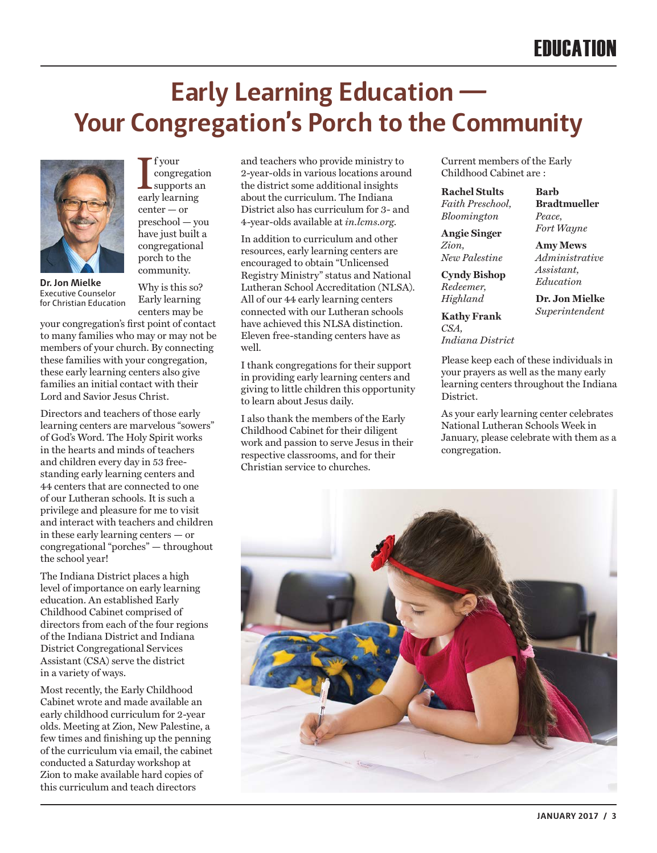## **Early Learning Education — Your Congregation's Porch to the Community**



 $\begin{array}{l} \displaystyle \left\{ \begin{array}{lcl} \text{f your} \\ \text{congreati} \\ \text{supports a} \end{array} \right. \\ \text{early learning} \end{array}$ f your congregation supports an center — or preschool — you have just built a congregational porch to the community.

Why is this so? Early learning

**Dr. Jon Mielke**  Executive Counselor for Christian Education

centers may be your congregation's first point of contact to many families who may or may not be members of your church. By connecting these families with your congregation, these early learning centers also give families an initial contact with their Lord and Savior Jesus Christ.

Directors and teachers of those early learning centers are marvelous "sowers" of God's Word. The Holy Spirit works in the hearts and minds of teachers and children every day in 53 freestanding early learning centers and 44 centers that are connected to one of our Lutheran schools. It is such a privilege and pleasure for me to visit and interact with teachers and children in these early learning centers — or congregational "porches" — throughout the school year!

The Indiana District places a high level of importance on early learning education. An established Early Childhood Cabinet comprised of directors from each of the four regions of the Indiana District and Indiana District Congregational Services Assistant (CSA) serve the district in a variety of ways.

Most recently, the Early Childhood Cabinet wrote and made available an early childhood curriculum for 2-year olds. Meeting at Zion, New Palestine, a few times and finishing up the penning of the curriculum via email, the cabinet conducted a Saturday workshop at Zion to make available hard copies of this curriculum and teach directors

and teachers who provide ministry to 2-year-olds in various locations around the district some additional insights about the curriculum. The Indiana District also has curriculum for 3- and 4-year-olds available at *in.lcms.org*.

In addition to curriculum and other resources, early learning centers are encouraged to obtain "Unlicensed Registry Ministry" status and National Lutheran School Accreditation (NLSA). All of our 44 early learning centers connected with our Lutheran schools have achieved this NLSA distinction. Eleven free-standing centers have as well.

I thank congregations for their support in providing early learning centers and giving to little children this opportunity to learn about Jesus daily.

I also thank the members of the Early Childhood Cabinet for their diligent work and passion to serve Jesus in their respective classrooms, and for their Christian service to churches.

Current members of the Early Childhood Cabinet are :

**Rachel Stults**  *Faith Preschool, Bloomington*

**Angie Singer**  *Zion, New Palestine*

**Cyndy Bishop** *Redeemer, Highland*

**Kathy Frank** *CSA, Indiana District* **Bradtmueller**  *Peace, Fort Wayne*

**Barb** 

**Amy Mews** *Administrative Assistant, Education*

**Dr. Jon Mielke** *Superintendent*

Please keep each of these individuals in your prayers as well as the many early learning centers throughout the Indiana District.

As your early learning center celebrates National Lutheran Schools Week in January, please celebrate with them as a congregation.

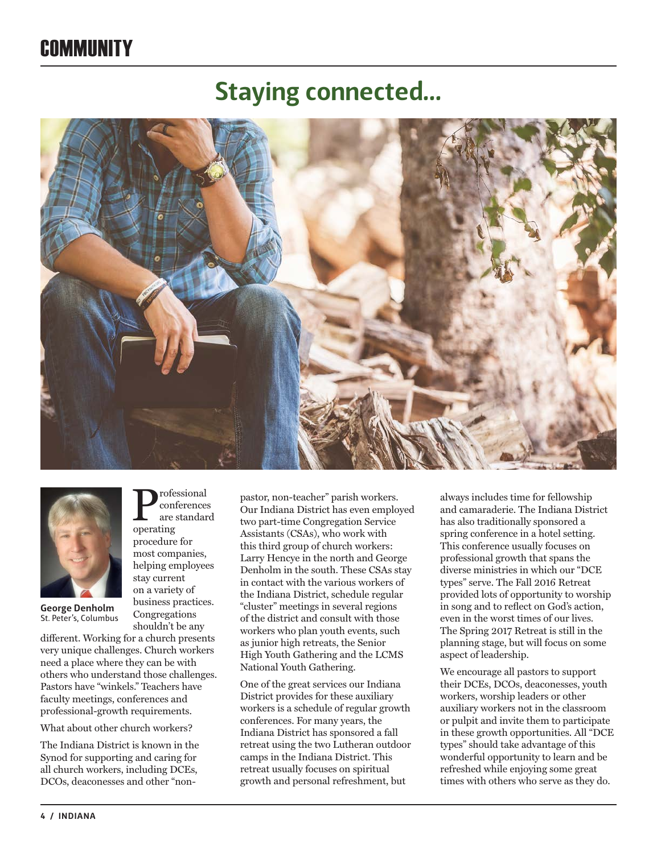## **COMMUNITY**

## **Staying connected…**





**George Denholm**  St. Peter's, Columbus

different. Working for a church presents very unique challenges. Church workers need a place where they can be with others who understand those challenges. Pastors have "winkels." Teachers have faculty meetings, conferences and professional-growth requirements.

Professional<br>are standar<br>operating conferences are standard

operating procedure for most companies, helping employees stay current on a variety of business practices. Congregations shouldn't be any

What about other church workers?

The Indiana District is known in the Synod for supporting and caring for all church workers, including DCEs, DCOs, deaconesses and other "nonpastor, non-teacher" parish workers. Our Indiana District has even employed two part-time Congregation Service Assistants (CSAs), who work with this third group of church workers: Larry Hencye in the north and George Denholm in the south. These CSAs stay in contact with the various workers of the Indiana District, schedule regular "cluster" meetings in several regions of the district and consult with those workers who plan youth events, such as junior high retreats, the Senior High Youth Gathering and the LCMS National Youth Gathering.

One of the great services our Indiana District provides for these auxiliary workers is a schedule of regular growth conferences. For many years, the Indiana District has sponsored a fall retreat using the two Lutheran outdoor camps in the Indiana District. This retreat usually focuses on spiritual growth and personal refreshment, but

always includes time for fellowship and camaraderie. The Indiana District has also traditionally sponsored a spring conference in a hotel setting. This conference usually focuses on professional growth that spans the diverse ministries in which our "DCE types" serve. The Fall 2016 Retreat provided lots of opportunity to worship in song and to reflect on God's action, even in the worst times of our lives. The Spring 2017 Retreat is still in the planning stage, but will focus on some aspect of leadership.

We encourage all pastors to support their DCEs, DCOs, deaconesses, youth workers, worship leaders or other auxiliary workers not in the classroom or pulpit and invite them to participate in these growth opportunities. All "DCE types" should take advantage of this wonderful opportunity to learn and be refreshed while enjoying some great times with others who serve as they do.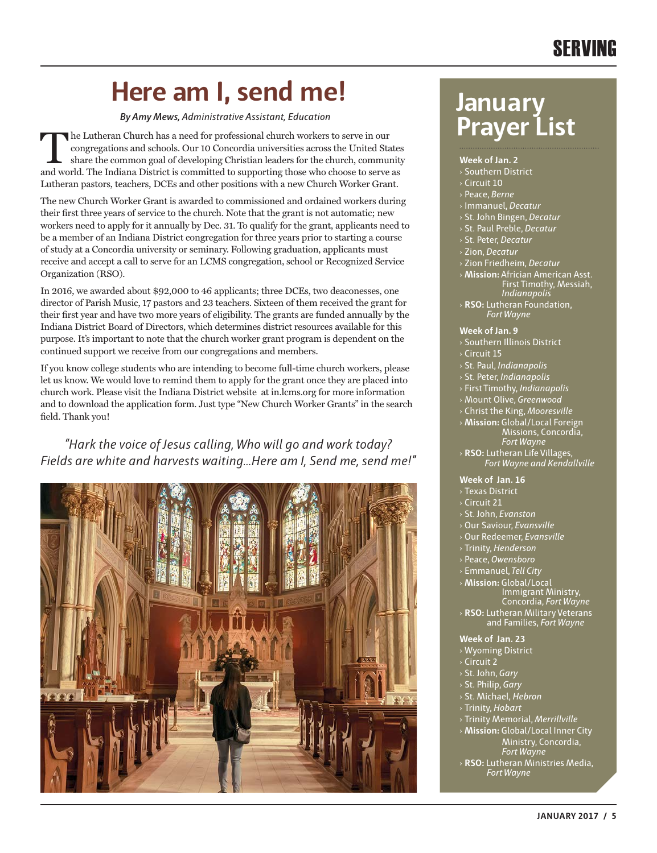## SERVING

## **Here am I, send me! January**

*By Amy Mews, Administrative Assistant, Education*

The Lutheran Church has a need for professional church workers to serve in our congregations and schools. Our 10 Concordia universities across the United States share the common goal of developing Christian leaders for the congregations and schools. Our 10 Concordia universities across the United States and world. The Indiana District is committed to supporting those who choose to serve as Lutheran pastors, teachers, DCEs and other positions with a new Church Worker Grant.

The new Church Worker Grant is awarded to commissioned and ordained workers during their first three years of service to the church. Note that the grant is not automatic; new workers need to apply for it annually by Dec. 31. To qualify for the grant, applicants need to be a member of an Indiana District congregation for three years prior to starting a course of study at a Concordia university or seminary. Following graduation, applicants must receive and accept a call to serve for an LCMS congregation, school or Recognized Service Organization (RSO).

In 2016, we awarded about \$92,000 to 46 applicants; three DCEs, two deaconesses, one director of Parish Music, 17 pastors and 23 teachers. Sixteen of them received the grant for their first year and have two more years of eligibility. The grants are funded annually by the Indiana District Board of Directors, which determines district resources available for this purpose. It's important to note that the church worker grant program is dependent on the continued support we receive from our congregations and members.

If you know college students who are intending to become full-time church workers, please let us know. We would love to remind them to apply for the grant once they are placed into church work. Please visit the Indiana District website at in.lcms.org for more information and to download the application form. Just type "New Church Worker Grants" in the search field. Thank you!

*"Hark the voice of Jesus calling, Who will go and work today? Fields are white and harvests waiting…Here am I, Send me, send me!"* 



# **Prayer List**

#### **Week of Jan. 2**

- Southern District
- › Circuit 10
- › Peace, *Berne*
- › Immanuel, *Decatur*
- › St. John Bingen, *Decatur*
- › St. Paul Preble, *Decatur*
- › St. Peter, *Decatur*
- › Zion, *Decatur*
- › Zion Friedheim, *Decatur*
- › **Mission:** Africian American Asst.
	- First Timothy, Messiah, *Indianapolis*
- › **RSO:** Lutheran Foundation, *Fort Wayne*

#### **Week of Jan. 9**

- › Southern Illinois District
- $\frac{1}{2}$  Circuit 15
- › St. Paul, *Indianapolis*
- › St. Peter, *Indianapolis*
- › First Timothy, *Indianapolis*
- › Mount Olive, *Greenwood*
- › Christ the King, *Mooresville*
- › **Mission:** Global/Local Foreign Missions, Concordia,
- *Fort Wayne* › **RSO:** Lutheran Life Villages, *Fort Wayne and Kendallville*

#### **Week of Jan. 16**

- › Texas District
- › Circuit 21
- › St. John, *Evanston*
- › Our Saviour, *Evansville*
- › Our Redeemer, *Evansville*
- › Trinity, *Henderson*
- › Peace, *Owensboro*
- › Emmanuel, *Tell City*

› **Mission:** Global/Local Immigrant Ministry, Concordia, *Fort Wayne* › **RSO:** Lutheran Military Veterans and Families, *Fort Wayne*

#### **Week of Jan. 23**

- › Wyoming District
- › Circuit 2
- › St. John, *Gary*
- › St. Philip, *Gary*
- › St. Michael, *Hebron*
- › Trinity, *Hobart*
- 
- › Trinity Memorial, *Merrillville*
- › **Mission:** Global/Local Inner City Ministry, Concordia, *Fort Wayne*
- › **RSO:** Lutheran Ministries Media, *Fort Wayne*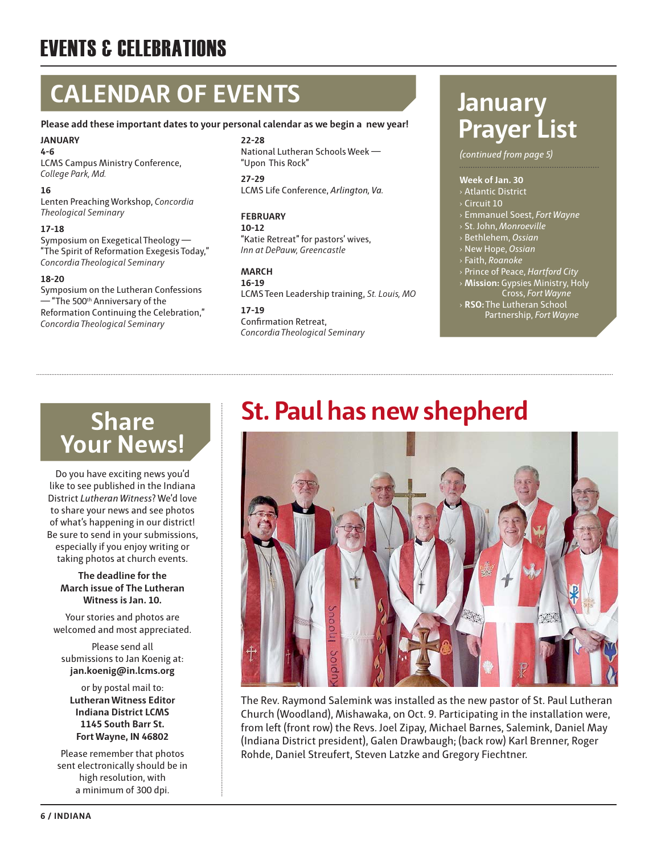## EVENTS & CELEBRATIONS

## **CALENDAR OF EVENTS**

#### **Please add these important dates to your personal calendar as we begin a new year!**

**JANUARY 4-6** LCMS Campus Ministry Conference,

*College Park, Md.*

#### **16**

Lenten Preaching Workshop, *Concordia Theological Seminary*

#### **17-18**

Symposium on Exegetical Theology — "The Spirit of Reformation Exegesis Today," *Concordia Theological Seminary*

#### **18-20**

Symposium on the Lutheran Confessions  $-$  "The 500th Anniversary of the Reformation Continuing the Celebration," *Concordia Theological Seminary*

#### **22-28** National Lutheran Schools Week — "Upon This Rock"

**27-29** LCMS Life Conference, *Arlington, Va.*

#### **FEBRUARY**

**10-12** "Katie Retreat" for pastors' wives, *Inn at DePauw, Greencastle*

#### **MARCH**

**16-19** LCMS Teen Leadership training, *St. Louis, MO*

**17-19** Confirmation Retreat, *Concordia Theological Seminary*

## **January Prayer List**

*(continued from page 5)*

#### **Week of Jan. 30**

- › Atlantic District
- › Circuit 10
- › Emmanuel Soest, *Fort Wayne*
- › St. John, *Monroeville*
- › Bethlehem, *Ossian*
- › New Hope, *Ossian* › Faith, *Roanoke*
- 
- › Prince of Peace, *Hartford City*
- › **Mission:** Gypsies Ministry, Holy Cross, *Fort Wayne*
- › **RSO:** The Lutheran School Partnership, *Fort Wayne*

## **Share Your News!**

Do you have exciting news you'd like to see published in the Indiana District *Lutheran Witness*? We'd love to share your news and see photos of what's happening in our district! Be sure to send in your submissions, especially if you enjoy writing or taking photos at church events.

#### **The deadline for the March issue of The Lutheran Witness is Jan. 10.**

Your stories and photos are welcomed and most appreciated.

Please send all submissions to Jan Koenig at: **jan.koenig@in.lcms.org** 

or by postal mail to: **Lutheran Witness Editor Indiana District LCMS 1145 South Barr St. Fort Wayne, IN 46802** 

Please remember that photos sent electronically should be in high resolution, with a minimum of 300 dpi.

## **St. Paul has new shepherd**



The Rev. Raymond Salemink was installed as the new pastor of St. Paul Lutheran Church (Woodland), Mishawaka, on Oct. 9. Participating in the installation were, from left (front row) the Revs. Joel Zipay, Michael Barnes, Salemink, Daniel May (Indiana District president), Galen Drawbaugh; (back row) Karl Brenner, Roger Rohde, Daniel Streufert, Steven Latzke and Gregory Fiechtner.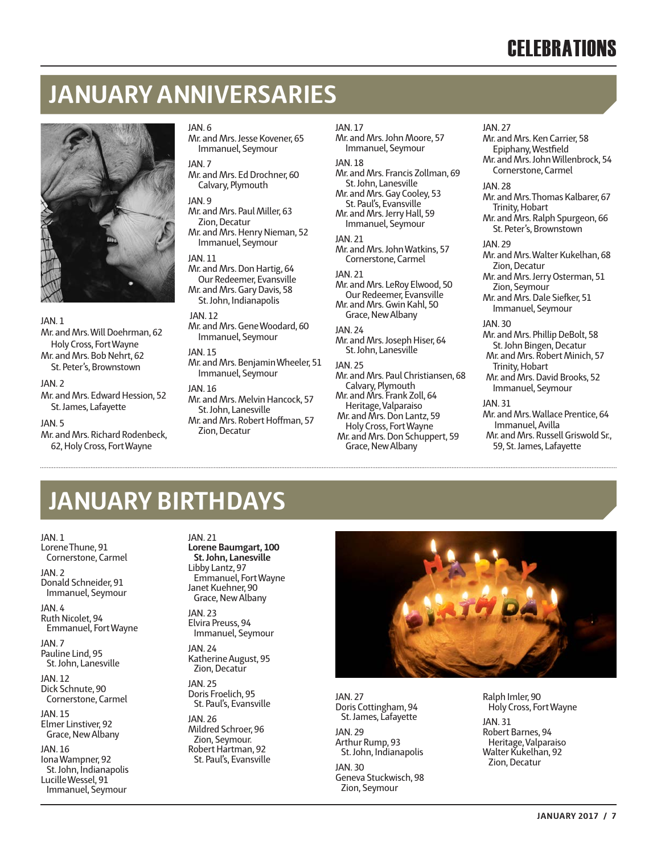## **JANUARY ANNIVERSARIES**



#### JAN. 1

Mr. and Mrs. Will Doehrman, 62 Holy Cross, Fort Wayne Mr. and Mrs. Bob Nehrt, 62 St. Peter's, Brownstown

#### JAN. 2

Mr. and Mrs. Edward Hession, 52 St. James, Lafayette

JAN. 5

Mr. and Mrs. Richard Rodenbeck, 62, Holy Cross, Fort Wayne

#### JAN. 6

Mr. and Mrs. Jesse Kovener, 65 Immanuel, Seymour

JAN. 7 Mr. and Mrs. Ed Drochner, 60 Calvary, Plymouth

JAN. 9 Mr. and Mrs. Paul Miller, 63 Zion, Decatur Mr. and Mrs. Henry Nieman, 52

Immanuel, Seymour

#### **JAN 11**

Mr. and Mrs. Don Hartig, 64 Our Redeemer, Evansville Mr. and Mrs. Gary Davis, 58 St. John, Indianapolis

#### **JAN 12**

Mr. and Mrs. Gene Woodard, 60 Immanuel, Seymour

JAN. 15 Mr. and Mrs. Benjamin Wheeler, 51 Immanuel, Seymour

#### JAN. 16

Mr. and Mrs. Melvin Hancock, 57 St. John, Lanesville Mr. and Mrs. Robert Hoffman, 57 Zion, Decatur

#### JAN. 17

Mr. and Mrs. John Moore, 57 Immanuel, Seymour **JAN 18** Mr. and Mrs. Francis Zollman, 69 St. John, Lanesville Mr. and Mrs. Gay Cooley, 53 St. Paul's, Evansville Mr. and Mrs. Jerry Hall, 59

Immanuel, Seymour **JAN 21** Mr. and Mrs. John Watkins, 57

Cornerstone, Carmel

JAN. 21 Mr. and Mrs. LeRoy Elwood, 50 Our Redeemer, Evansville Mr. and Mrs. Gwin Kahl, 50

#### Grace, New Albany JAN. 24 Mr. and Mrs. Joseph Hiser, 64

St. John, Lanesville

JAN. 25

Mr. and Mrs. Paul Christiansen, 68 Calvary, Plymouth Mr. and Mrs. Frank Zoll, 64 Heritage, Valparaiso Mr. and Mrs. Don Lantz, 59 Holy Cross, Fort Wayne Mr. and Mrs. Don Schuppert, 59 Grace, New Albany

#### Mr. and Mrs. Ken Carrier, 58 Epiphany, Westfield Mr. and Mrs. John Willenbrock, 54 Cornerstone, Carmel **JAN 28** Mr. and Mrs. Thomas Kalbarer, 67 Trinity, Hobart Mr. and Mrs. Ralph Spurgeon, 66 St. Peter's, Brownstown **JAN 29** Mr. and Mrs. Walter Kukelhan, 68 Zion, Decatur Mr. and Mrs. Jerry Osterman, 51 Zion, Seymour

Mr. and Mrs. Dale Siefker, 51 Immanuel, Seymour

#### JAN. 30

JAN. 27

Mr. and Mrs. Phillip DeBolt, 58 St. John Bingen, Decatur Mr. and Mrs. Robert Minich, 57 Trinity, Hobart Mr. and Mrs. David Brooks, 52

Immanuel, Seymour JAN. 31

Mr. and Mrs. Wallace Prentice, 64 Immanuel, Avilla Mr. and Mrs. Russell Griswold Sr., 59, St. James, Lafayette

## **JANUARY BIRTHDAYS**

JAN. 1 Lorene Thune, 91

Cornerstone, Carmel JAN. 2

Donald Schneider, 91 Immanuel, Seymour

JAN. 4 Ruth Nicolet, 94 Emmanuel, Fort Wayne

**JAN 7** Pauline Lind, 95 St. John, Lanesville

JAN. 12 Dick Schnute, 90 Cornerstone, Carmel

JAN. 15 Elmer Linstiver, 92 Grace, New Albany

JAN. 16 Iona Wampner, 92 St. John, Indianapolis Lucille Wessel, 91 Immanuel, Seymour

#### JAN. 21

**Lorene Baumgart, 100 St. John, Lanesville** Libby Lantz, 97 Emmanuel, Fort Wayne Janet Kuehner, 90 Grace, New Albany

JAN. 23 Elvira Preuss, 94 Immanuel, Seymour

JAN. 24 Katherine August, 95 Zion, Decatur

JAN. 25 Doris Froelich, 95 St. Paul's, Evansville

JAN. 26 Mildred Schroer, 96 Zion, Seymour. Robert Hartman, 92 St. Paul's, Evansville



JAN. 27 Doris Cottingham, 94 St. James, Lafayette

**JAN 29** Arthur Rump, 93

St. John, Indianapolis JAN. 30 Geneva Stuckwisch, 98

Zion, Seymour

Ralph Imler, 90 Holy Cross, Fort Wayne JAN. 31 Robert Barnes, 94 Heritage, Valparaiso Walter Kukelhan, 92 Zion, Decatur